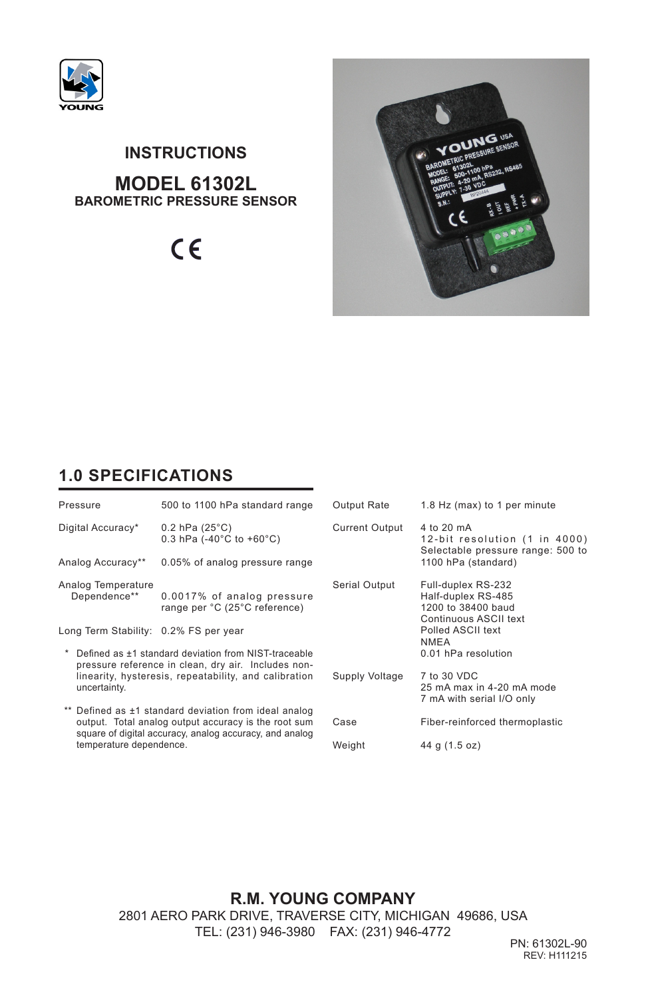

# **MODEL 61302L BAROMETRIC PRESSURE SENSOR INSTRUCTIONS**

 $C \in$ 



## **1.0 SPECIFICATIONS**

| Pressure                                                                                                                                                                             | 500 to 1100 hPa standard range                                              | Output Rate           | 1.8 Hz (max) to 1 per minute                                                                            |  |
|--------------------------------------------------------------------------------------------------------------------------------------------------------------------------------------|-----------------------------------------------------------------------------|-----------------------|---------------------------------------------------------------------------------------------------------|--|
| Digital Accuracy*                                                                                                                                                                    | $0.2$ hPa (25 $^{\circ}$ C)<br>0.3 hPa $(-40^{\circ}$ C to $+60^{\circ}$ C) | <b>Current Output</b> | 4 to 20 mA<br>12-bit resolution (1 in 4000)<br>Selectable pressure range: 500 to<br>1100 hPa (standard) |  |
| Analog Accuracy**                                                                                                                                                                    | 0.05% of analog pressure range                                              |                       |                                                                                                         |  |
| Analog Temperature<br>Dependence**                                                                                                                                                   | 0.0017% of analog pressure<br>range per °C (25°C reference)                 | Serial Output         | Full-duplex RS-232<br>Half-duplex RS-485<br>1200 to 38400 baud<br>Continuous ASCII text                 |  |
| Long Term Stability: 0.2% FS per year                                                                                                                                                |                                                                             |                       | Polled ASCII text<br><b>NMEA</b>                                                                        |  |
| Defined as ±1 standard deviation from NIST-traceable<br>pressure reference in clean, dry air. Includes non-<br>linearity, hysteresis, repeatability, and calibration<br>uncertainty. |                                                                             |                       | 0.01 hPa resolution                                                                                     |  |
|                                                                                                                                                                                      |                                                                             | Supply Voltage        | 7 to 30 VDC<br>25 mA max in 4-20 mA mode<br>7 mA with serial I/O only                                   |  |
| ** Defined as ±1 standard deviation from ideal analog<br>output. Total analog output accuracy is the root sum<br>square of digital accuracy, analog accuracy, and analog             |                                                                             | Case                  | Fiber-reinforced thermoplastic                                                                          |  |
| temperature dependence.                                                                                                                                                              |                                                                             | Weight                | 44 g (1.5 oz)                                                                                           |  |

**R.M. YOUNG COMPANY** 2801 AERO PARK DRIVE, TRAVERSE CITY, MICHIGAN 49686, USA TEL: (231) 946-3980 FAX: (231) 946-4772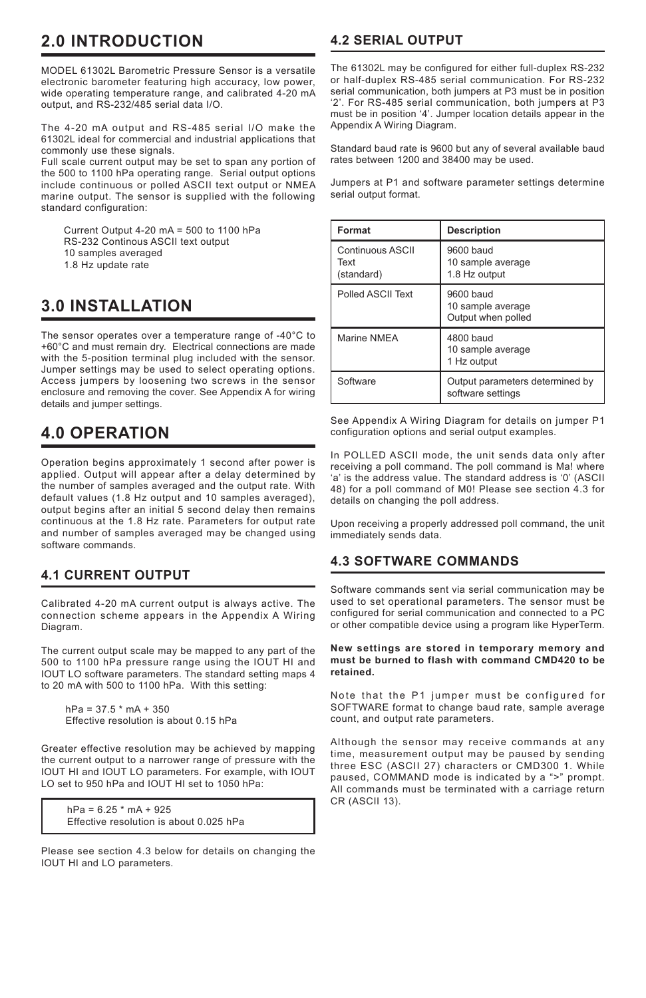# **2.0 INTRODUCTION**

MODEL 61302L Barometric Pressure Sensor is a versatile electronic barometer featuring high accuracy, low power, wide operating temperature range, and calibrated 4-20 mA output, and RS-232/485 serial data I/O.

The 4-20 mA output and RS-485 serial I/O make the 61302L ideal for commercial and industrial applications that commonly use these signals.

Full scale current output may be set to span any portion of the 500 to 1100 hPa operating range. Serial output options include continuous or polled ASCII text output or NMEA marine output. The sensor is supplied with the following standard configuration:

Current Output 4-20  $mA = 500$  to 1100 hPa RS-232 Continous ASCII text output 10 samples averaged

1.8 Hz update rate

# **3.0 INSTALLATION**

The sensor operates over a temperature range of -40°C to +60°C and must remain dry. Electrical connections are made with the 5-position terminal plug included with the sensor. Jumper settings may be used to select operating options. Access jumpers by loosening two screws in the sensor enclosure and removing the cover. See Appendix A for wiring details and jumper settings.

## **4.0 OPERATION**

Operation begins approximately 1 second after power is applied. Output will appear after a delay determined by the number of samples averaged and the output rate. With default values (1.8 Hz output and 10 samples averaged), output begins after an initial 5 second delay then remains continuous at the 1.8 Hz rate. Parameters for output rate and number of samples averaged may be changed using software commands.

## **4.1 CURRENT OUTPUT**

Calibrated 4-20 mA current output is always active. The connection scheme appears in the Appendix A Wiring Diagram.

The current output scale may be mapped to any part of the 500 to 1100 hPa pressure range using the IOUT HI and IOUT LO software parameters. The standard setting maps 4 to 20 mA with 500 to 1100 hPa. With this setting:

 $hPa = 37.5$  \* mA + 350 Effective resolution is about 0.15 hPa

Greater effective resolution may be achieved by mapping the current output to a narrower range of pressure with the IOUT HI and IOUT LO parameters. For example, with IOUT LO set to 950 hPa and IOUT HI set to 1050 hPa:

 $hPa = 6.25$  \* mA + 925 Effective resolution is about 0.025 hPa

Please see section 4.3 below for details on changing the IOUT HI and LO parameters.

## **4.2 SERIAL OUTPUT**

The 61302L may be configured for either full-duplex RS-232 or half-duplex RS-485 serial communication. For RS-232 serial communication, both jumpers at P3 must be in position '2'. For RS-485 serial communication, both jumpers at P3 must be in position '4'. Jumper location details appear in the Appendix A Wiring Diagram.

Standard baud rate is 9600 but any of several available baud rates between 1200 and 38400 may be used.

Jumpers at P1 and software parameter settings determine serial output format.

| Format                                 | <b>Description</b>                                   |  |  |
|----------------------------------------|------------------------------------------------------|--|--|
| Continuous ASCII<br>Text<br>(standard) | 9600 baud<br>10 sample average<br>1.8 Hz output      |  |  |
| Polled ASCII Text                      | 9600 baud<br>10 sample average<br>Output when polled |  |  |
| Marine NMEA                            | 4800 baud<br>10 sample average<br>1 Hz output        |  |  |
| Software                               | Output parameters determined by<br>software settings |  |  |

See Appendix A Wiring Diagram for details on jumper P1 configuration options and serial output examples.

In POLLED ASCII mode, the unit sends data only after receiving a poll command. The poll command is Ma! where 'a' is the address value. The standard address is '0' (ASCII 48) for a poll command of M0! Please see section 4.3 for details on changing the poll address.

Upon receiving a properly addressed poll command, the unit immediately sends data.

## **4.3 SOFTWARE COMMANDS**

Software commands sent via serial communication may be used to set operational parameters. The sensor must be configured for serial communication and connected to a PC or other compatible device using a program like HyperTerm.

#### **New settings are stored in temporary memory and must be burned to flash with command CMD420 to be retained.**

Note that the P1 jumper must be configured for SOFTWARE format to change baud rate, sample average count, and output rate parameters.

Although the sensor may receive commands at any time, measurement output may be paused by sending three ESC (ASCII 27) characters or CMD300 1. While paused, COMMAND mode is indicated by a ">" prompt. All commands must be terminated with a carriage return CR (ASCII 13).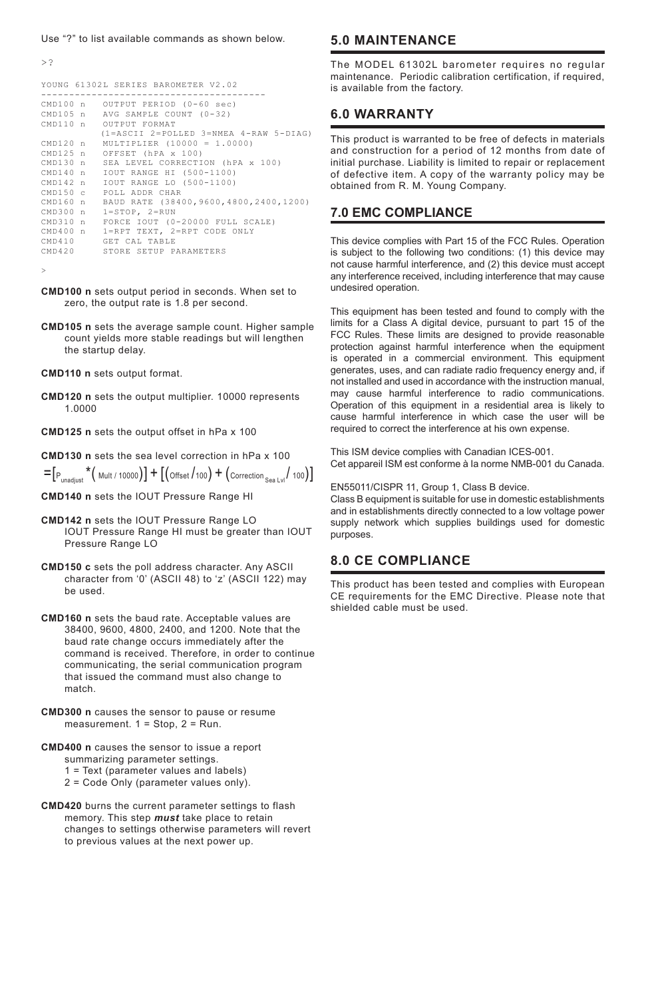#### Use "?" to list available commands as shown below.

>?

```
YOUNG 61302L SERIES BAROMETER V2.02
----------------------------------------
CMD100 n OUTPUT PERIOD (0-60 sec)
CMD105 n AVG SAMPLE COUNT (0-32)<br>CMD110 n OUTPUT FORMAT
                OUTPUT FORMAT
                (1=ASCII 2=POLLED 3=NMEA 4-RAW 5-DIAG)
CMD120 n MULTIPLIER (10000 = 1.0000)<br>
CMD125 n OFFSET (hPA x 100)
CMD125 n OFFSET (hPA x 100)<br>CMD130 n SEA LEVEL CORRECTI
CMD130 n SEA LEVEL CORRECTION (hPA x 100)<br>CMD140 n TOUT RANGE HT (500-1100)
CMD140 n IOUT RANGE HI (500-1100)
CMD142 n IOUT RANGE LO (500-1100)
CMD150 c POLL ADDR CHAR<br>
CMD160 n BAUD RATE (384
CMD160 n BAUD RATE (38400,9600,4800,2400,1200)<br>CMD300 n 1=STOP, 2=RUN
\text{CMD300 n} \quad \text{1=STOP}, \quad \text{2=RUN}CMD310 n FORCE IOUT (0-20000 FULL SCALE)
CMD400 n 1=RPT TEXT, 2=RPT CODE ONLY
CMD410 GET CAL TABLE<br>CMD420 STORE SETUP P
                STORE SETUP PARAMETERS
```
>

- **CMD100 n** sets output period in seconds. When set to zero, the output rate is 1.8 per second.
- **CMD105 n** sets the average sample count. Higher sample count yields more stable readings but will lengthen the startup delay.
- **CMD110 n** sets output format.
- **CMD120 n** sets the output multiplier. 10000 represents 1.0000
- **CMD125 n** sets the output offset in hPa x 100
- **CMD130 n** sets the sea level correction in hPa x 100

 $=[P_{unadjust} * ($  Mult / 10000 $)] + [($  Offset  $/$  100 $] + ($  Correction <sub>Sea Lvl</sub> $/$  100 $)]$ 

- **CMD140 n** sets the IOUT Pressure Range HI
- **CMD142 n** sets the IOUT Pressure Range LO IOUT Pressure Range HI must be greater than IOUT Pressure Range LO
- **CMD150 c** sets the poll address character. Any ASCII character from '0' (ASCII 48) to 'z' (ASCII 122) may be used.
- **CMD160 n** sets the baud rate. Acceptable values are 38400, 9600, 4800, 2400, and 1200. Note that the baud rate change occurs immediately after the command is received. Therefore, in order to continue communicating, the serial communication program that issued the command must also change to match.
- **CMD300 n** causes the sensor to pause or resume measurement. 1 = Stop, 2 = Run.
- **CMD400 n** causes the sensor to issue a report summarizing parameter settings.
	- 1 = Text (parameter values and labels)
	- 2 = Code Only (parameter values only).
- **CMD420** burns the current parameter settings to flash memory. This step *must* take place to retain changes to settings otherwise parameters will revert to previous values at the next power up.

## **5.0 MAINTENANCE**

The MODEL 61302L barometer requires no regular maintenance. Periodic calibration certification, if required, is available from the factory.

### **6.0 WARRANTY**

This product is warranted to be free of defects in materials and construction for a period of 12 months from date of initial purchase. Liability is limited to repair or replacement of defective item. A copy of the warranty policy may be obtained from R. M. Young Company.

### **7.0 EMC COMPLIANCE**

This device complies with Part 15 of the FCC Rules. Operation is subject to the following two conditions: (1) this device may not cause harmful interference, and (2) this device must accept any interference received, including interference that may cause undesired operation.

This equipment has been tested and found to comply with the limits for a Class A digital device, pursuant to part 15 of the FCC Rules. These limits are designed to provide reasonable protection against harmful interference when the equipment is operated in a commercial environment. This equipment generates, uses, and can radiate radio frequency energy and, if not installed and used in accordance with the instruction manual, may cause harmful interference to radio communications. Operation of this equipment in a residential area is likely to cause harmful interference in which case the user will be required to correct the interference at his own expense.

This ISM device complies with Canadian ICES-001. Cet appareil ISM est conforme à Ia norme NMB-001 du Canada.

#### EN55011/CISPR 11, Group 1, Class B device.

Class B equipment is suitable for use in domestic establishments and in establishments directly connected to a low voltage power supply network which supplies buildings used for domestic purposes.

### **8.0 CE COMPLIANCE**

This product has been tested and complies with European CE requirements for the EMC Directive. Please note that shielded cable must be used.